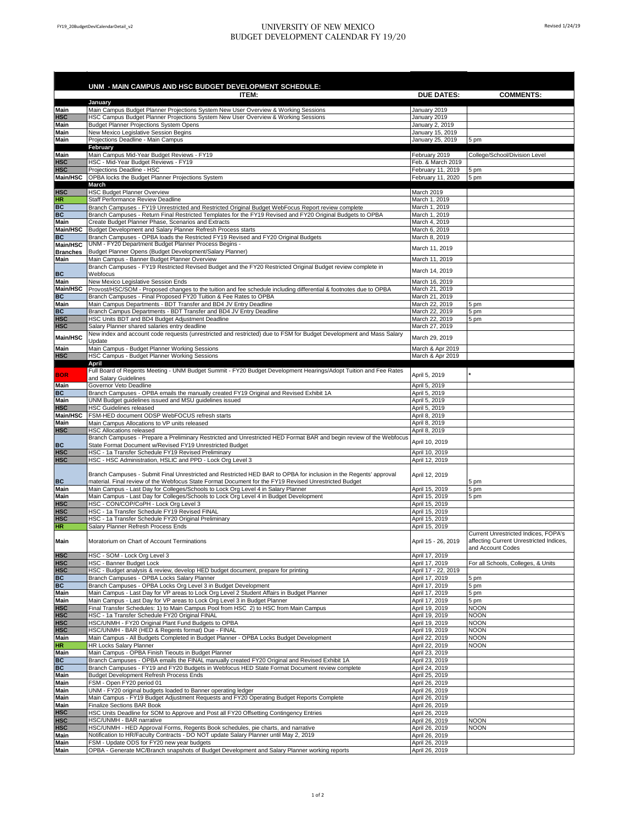## FY19\_20BudgetDevlCalendarDetail\_v2 UNIVERSITY OF NEW MEXICO BUDGET DEVELOPMENT CALENDAR FY 19/20

|                             | UNM - MAIN CAMPUS AND HSC BUDGET DEVELOPMENT SCHEDULE:<br>ITEM:<br>January                                                                                                                 | <b>DUE DATES:</b>                     | <b>COMMENTS:</b>                                             |
|-----------------------------|--------------------------------------------------------------------------------------------------------------------------------------------------------------------------------------------|---------------------------------------|--------------------------------------------------------------|
| Main                        | Main Campus Budget Planner Projections System New User Overview & Working Sessions                                                                                                         | January 2019                          |                                                              |
| <b>HSC</b>                  | HSC Campus Budget Planner Projections System New User Overview & Working Sessions                                                                                                          | January 2019                          |                                                              |
| Main                        | Budget Planner Projections System Opens                                                                                                                                                    | January 2, 2019                       |                                                              |
| <b>Main</b>                 | New Mexico Legislative Session Begins                                                                                                                                                      | January 15, 2019                      |                                                              |
| Main                        | Projections Deadline - Main Campus                                                                                                                                                         | January 25, 2019                      | 5 pm                                                         |
| Main                        | February<br>Main Campus Mid-Year Budget Reviews - FY19                                                                                                                                     | February 2019                         | College/School/Division Level                                |
| <b>HSC</b>                  | HSC - Mid-Year Budget Reviews - FY19                                                                                                                                                       | Feb. & March 2019                     |                                                              |
| <b>HSC</b>                  | Projections Deadline - HSC                                                                                                                                                                 | February 11, 2019                     | 5 pm                                                         |
| Main/HSC                    | OPBA locks the Budget Planner Projections System                                                                                                                                           | February 11, 2020                     | 5 pm                                                         |
|                             | March                                                                                                                                                                                      |                                       |                                                              |
| <b>HSC</b>                  | <b>HSC Budget Planner Overview</b>                                                                                                                                                         | March 2019                            |                                                              |
| <b>HR</b><br>BC             | Staff Performance Review Deadline<br>Branch Campuses - FY19 Unrestricted and Restricted Original Budget WebFocus Report review complete                                                    | March 1, 2019<br>March 1, 2019        |                                                              |
| BC                          | Branch Campuses - Return Final Restricted Templates for the FY19 Revised and FY20 Original Budgets to OPBA                                                                                 | March 1, 2019                         |                                                              |
| Main                        | Create Budget Planner Phase, Scenarios and Extracts                                                                                                                                        | March 4, 2019                         |                                                              |
| Main/HSC                    | Budget Development and Salary Planner Refresh Process starts                                                                                                                               | March 6, 2019                         |                                                              |
| BC                          | Branch Campuses - OPBA loads the Restricted FY19 Revised and FY20 Original Budgets                                                                                                         | March 8, 2019                         |                                                              |
| Main/HSC<br><b>Branches</b> | UNM - FY20 Department Budget Planner Process Begins -<br>Budget Planner Opens (Budget Development/Salary Planner)                                                                          | March 11, 2019                        |                                                              |
| Main                        | Main Campus - Banner Budget Planner Overview                                                                                                                                               | March 11, 2019                        |                                                              |
|                             | Branch Campuses - FY19 Restricted Revised Budget and the FY20 Restricted Original Budget review complete in                                                                                |                                       |                                                              |
| BC                          | Webfocus                                                                                                                                                                                   | March 14, 2019                        |                                                              |
| Main                        | New Mexico Legislative Session Ends                                                                                                                                                        | March 16, 2019                        |                                                              |
| Main/HSC                    | Provost/HSC/SOM - Proposed changes to the tuition and fee schedule including differential & footnotes due to OPBA                                                                          | March 21, 2019                        |                                                              |
| BC<br>Main                  | Branch Campuses - Final Proposed FY20 Tuition & Fee Rates to OPBA<br>Main Campus Departments - BDT Transfer and BD4 JV Entry Deadline                                                      | March 21, 2019<br>March 22, 2019      | 5 pm                                                         |
| BC                          | Branch Campus Departments - BDT Transfer and BD4 JV Entry Deadline                                                                                                                         | March 22, 2019                        | 5 pm                                                         |
| <b>HSC</b>                  | HSC Units BDT and BD4 Budget Adjustment Deadline                                                                                                                                           | March 22, 2019                        | 5 pm                                                         |
| <b>HSC</b>                  | Salary Planner shared salaries entry deadline                                                                                                                                              | March 27, 2019                        |                                                              |
| Main/HSC                    | New index and account code requests (unrestricted and restricted) due to FSM for Budget Development and Mass Salary                                                                        | March 29, 2019                        |                                                              |
| Main                        | Update<br>Main Campus - Budget Planner Working Sessions                                                                                                                                    | March & Apr 2019                      |                                                              |
| <b>HSC</b>                  | HSC Campus - Budget Planner Working Sessions                                                                                                                                               | March & Apr 2019                      |                                                              |
|                             | April                                                                                                                                                                                      |                                       |                                                              |
| <b>BOR</b>                  | Full Board of Regents Meeting - UNM Budget Summit - FY20 Budget Development Hearings/Adopt Tuition and Fee Rates                                                                           | April 5, 2019                         |                                                              |
|                             | and Salary Guidelines                                                                                                                                                                      |                                       |                                                              |
| Main<br><b>BC</b>           | Governor Veto Deadline<br>Branch Campuses - OPBA emails the manually created FY19 Original and Revised Exhibit 1A                                                                          | April 5, 2019<br>April 5, 2019        |                                                              |
| <b>Main</b>                 | UNM Budget guidelines issued and MSU guidelines issued                                                                                                                                     | April 5, 2019                         |                                                              |
| <b>HSC</b>                  | <b>HSC Guidelines released</b>                                                                                                                                                             | April 5, 2019                         |                                                              |
| Main/HSC                    | FSM-HED document ODSP WebFOCUS refresh starts                                                                                                                                              | April 8, 2019                         |                                                              |
| Main                        | Main Campus Allocations to VP units released                                                                                                                                               | April 8, 2019                         |                                                              |
| <b>HSC</b>                  | <b>HSC Allocations released</b>                                                                                                                                                            | April 8, 2019                         |                                                              |
| BC                          | Branch Campuses - Prepare a Preliminary Restricted and Unrestricted HED Format BAR and begin review of the Webfocus<br>State Format Document w/Revised FY19 Unrestricted Budget            | April 10, 2019                        |                                                              |
| <b>HSC</b>                  | HSC - 1a Transfer Schedule FY19 Revised Preliminary                                                                                                                                        | April 10, 2019                        |                                                              |
| <b>HSC</b>                  | HSC - HSC Administration, HSLIC and PPD - Lock Org Level 3                                                                                                                                 | April 12, 2019                        |                                                              |
|                             |                                                                                                                                                                                            |                                       |                                                              |
|                             | Branch Campuses - Submit Final Unrestricted and Restricted HED BAR to OPBA for inclusion in the Regents' approval                                                                          | April 12, 2019                        |                                                              |
| BC<br>Main                  | material. Final review of the Webfocus State Format Document for the FY19 Revised Unrestricted Budget<br>Main Campus - Last Day for Colleges/Schools to Lock Org Level 4 in Salary Planner | April 15, 2019                        | 5 pm<br>5 pm                                                 |
| Main                        | Main Campus - Last Day for Colleges/Schools to Lock Org Level 4 in Budget Development                                                                                                      | April 15, 2019                        | 5 pm                                                         |
| <b>HSC</b>                  | HSC - CON/COP/CoPH - Lock Org Level 3                                                                                                                                                      | April 15, 2019                        |                                                              |
| <b>HSC</b>                  | HSC - 1a Transfer Schedule FY19 Revised FINAL                                                                                                                                              | April 15, 2019                        |                                                              |
| <b>HSC</b>                  | HSC - 1a Transfer Schedule FY20 Original Preliminary                                                                                                                                       | April 15, 2019                        |                                                              |
| <b>HR</b>                   | Salary Planner Refresh Process Ends                                                                                                                                                        | April 15, 2019                        | Current Unrestricted Indices, FOPA's                         |
| Main                        | Moratorium on Chart of Account Terminations                                                                                                                                                | April 15 - 26, 2019                   | affecting Current Unrestricted Indices,<br>and Account Codes |
| <b>HSC</b>                  | HSC - SOM - Lock Org Level 3                                                                                                                                                               | April 17, 2019                        |                                                              |
| <b>HSC</b><br><b>HSC</b>    | <b>HSC - Banner Budget Lock</b><br>HSC - Budget analysis & review, develop HED budget document, prepare for printing                                                                       | April 17, 2019<br>April 17 - 22, 2019 | For all Schools, Colleges, & Units                           |
| BC                          | Branch Campuses - OPBA Locks Salary Planner                                                                                                                                                | April 17, 2019                        | 5 pm                                                         |
| BC                          | Branch Campuses - OPBA Locks Org Level 3 in Budget Development                                                                                                                             | April 17, 2019                        | 5 pm                                                         |
| Main                        | Main Campus - Last Day for VP areas to Lock Org Level 2 Student Affairs in Budget Planner                                                                                                  | April 17, 2019                        | 5 pm                                                         |
| Main                        | Main Campus - Last Day for VP areas to Lock Org Level 3 in Budget Planner                                                                                                                  | April 17, 2019                        | 5 pm                                                         |
| <b>HSC</b>                  | Final Transfer Schedules: 1) to Main Campus Pool from HSC 2) to HSC from Main Campus                                                                                                       | April 19, 2019                        | <b>NOON</b>                                                  |
| <b>HSC</b>                  | HSC - 1a Transfer Schedule FY20 Original FINAL                                                                                                                                             | April 19, 2019                        | <b>NOON</b>                                                  |
| <b>HSC</b><br><b>HSC</b>    | HSC/UNMH - FY20 Original Plant Fund Budgets to OPBA<br>HSC/UNMH - BAR (HED & Regents format) Due - FINAL                                                                                   | April 19, 2019<br>April 19, 2019      | <b>NOON</b><br><b>NOON</b>                                   |
| Main                        | Main Campus - All Budgets Completed in Budget Planner - OPBA Locks Budget Development                                                                                                      | April 22, 2019                        | <b>NOON</b>                                                  |
| <b>HR</b>                   | <b>HR Locks Salary Planner</b>                                                                                                                                                             | April 22, 2019                        | <b>NOON</b>                                                  |
| Main                        | Main Campus - OPBA Finish Tieouts in Budget Planner                                                                                                                                        | April 23, 2019                        |                                                              |
| BC                          | Branch Campuses - OPBA emails the FINAL manually created FY20 Original and Revised Exhibit 1A                                                                                              | April 23, 2019                        |                                                              |
| BC                          | Branch Campuses - FY19 and FY20 Budgets in Webfocus HED State Format Document review complete                                                                                              | April 24, 2019                        |                                                              |
| Main<br>Main                | <b>Budget Development Refresh Process Ends</b><br>FSM - Open FY20 period 01                                                                                                                | April 25, 2019<br>April 26, 2019      |                                                              |
| Main                        | UNM - FY20 original budgets loaded to Banner operating ledger                                                                                                                              | April 26, 2019                        |                                                              |
| Main                        | Main Campus - FY19 Budget Adjustment Requests and FY20 Operating Budget Reports Complete                                                                                                   | April 26, 2019                        |                                                              |
| Main                        | <b>Finalize Sections BAR Book</b>                                                                                                                                                          | April 26, 2019                        |                                                              |
| <b>HSC</b>                  | HSC Units Deadline for SOM to Approve and Post all FY20 Offsetting Contingency Entries                                                                                                     | April 26, 2019                        |                                                              |
| <b>HSC</b>                  | HSC/UNMH - BAR narrative                                                                                                                                                                   | April 26, 2019                        | <b>NOON</b>                                                  |
| <b>HSC</b>                  | HSC/UNMH - HED Approval Forms, Regents Book schedules, pie charts, and narrative                                                                                                           | April 26, 2019                        | <b>NOON</b>                                                  |
| Main<br>Main                | Notification to HR/Faculty Contracts - DO NOT update Salary Planner until May 2, 2019<br>FSM - Update ODS for FY20 new year budgets                                                        | April 26, 2019<br>April 26, 2019      |                                                              |
| Main                        | OPBA - Generate MC/Branch snapshots of Budget Development and Salary Planner working reports                                                                                               | April 26, 2019                        |                                                              |
|                             |                                                                                                                                                                                            |                                       |                                                              |